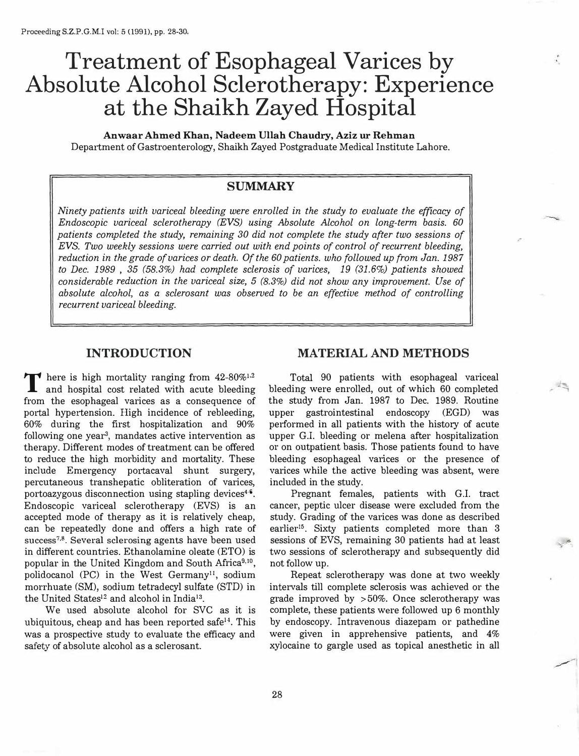# **Treatment of Esophageal Varices by Absolute Alcohol Sclerotherapy: Experience at the Shaikh Zayed Hospital**

**Anwaar Ahmed Khan, Nadeem Ullah Chaudry, Aziz ur Rehman**  Department of Gastroenterology, Shaikh Zayed Postgraduate Medical Institute Lahore.

# **SUMMARY**

*Ninety patients with variceal bleeding were enrolled in the study to evaluate the efficacy of Endoscopic variceal sclerotherapy (EVS) using Absolute Alcohol on long-term basis. 60 patients completed the study, remaining 30 did not complete the study after two sessions of EVS. Two weekly sessions were carried out with end points of control of recurrent bleeding, reduction in the grade of varices or death. Of the 60 patients. who followed up from Jan. 1987 to Dec. 1989* , *35 (58.3%) had complete sclerosis of varices, 19 (31.6%) patients showed considerable reduction in the variceal size, 5 (8.3%) did not show any improvement. Use of absolute alcohol, as a sclerosant was observed to be an effective method of controlling recurrent variceal bleeding.* 

## **INTRODUCTION**

There is high mortality ranging from 42-80%<sup>1,2</sup><br>and hospital cost related with acute bleeding • 2 from the esophageal varices as a consequence of portal hypertension. High incidence of rebleeding, 60% during the first hospitalization and 90% following one year<sup>3</sup>, mandates active intervention as therapy. Different modes of treatment can be offered to reduce the high morbidity and mortality. These include Emergency portacaval shunt surgery, percutaneous transhepatic obliteration of varices, portoazygous disconnection using stapling devices<sup>46</sup>. Endoscopic variceal sclerotherapy (EVS) is an accepted mode of therapy as it is relatively cheap, can be repeatedly done and offers a high rate of success**<sup>7</sup> • 8 •** Several sclerosing agents have been used in different countries. Ethanolamine oleate (ETO) is popular in the United Kingdom and South Africa**<sup>9</sup>• <sup>10</sup> ,**  polidocanol (PC) in the West Germany<sup>11</sup>, sodium morrhuate (SM), sodium tetradecyl sulfate (STD) in the United States<sup>12</sup> and alcohol in India<sup>13</sup>.

We used absolute alcohol for SVC as it is ubiquitous, cheap and has been reported safe<sup>14</sup>. This was a prospective study to evaluate the efficacy and safety of absolute alcohol as a sclerosant.

## **MATERIAL AND METHODS**

Total 90 patients with esophageal variceal bleeding were enrolled, out of which 60 completed the study from Jan. 1987 to Dec. 1989. Routine upper gastrointestinal endoscopy (EGD) was performed in all patients with the history of acute upper G.I. bleeding or melena after hospitalization or on outpatient basis. Those patients found to have bleeding esophageal varices or the presence of varices while the active bleeding was absent, were included in the study.

Pregnant females, patients with G.I. tract cancer, peptic ulcer disease were excluded from the study. Grading of the varices was done as described earlier<sup>15</sup>. Sixty patients completed more than 3 sessions of EVS, remaining 30 patients had at least two sessions of sclerotherapy and subsequently did not follow up.

.�

Repeat sclerotherapy was done at two weekly intervals till complete sclerosis was achieved or the grade improved by > 50%. Once sclerotherapy was complete, these patients were followed up 6 monthly by endoscopy. Intravenous diazepam or pathedine were given in apprehensive patients, and 4% xylocaine to gargle used as topical anesthetic in all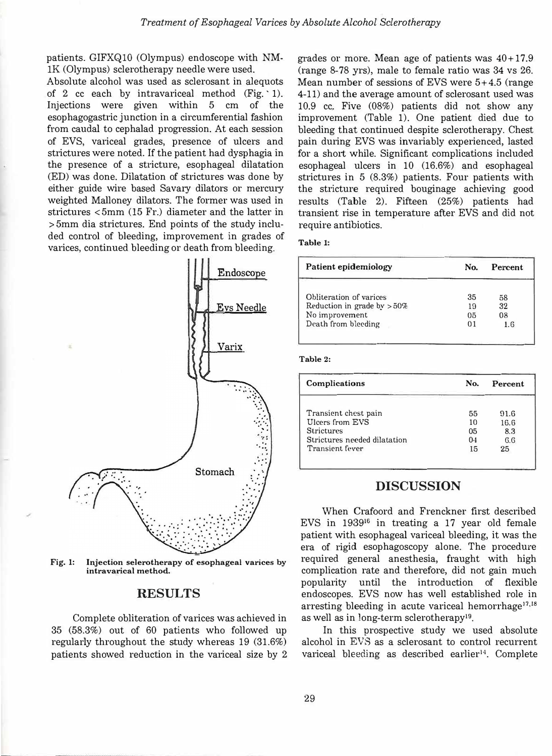patients. GIFXQ10 (Olympus) endoscope with NMlK (Olympus) sclerotherapy needle were used.

Absolute alcohol was used as sclerosant in alequots of 2 cc each by intravariceal method (Fig. ' 1). Injections were given within 5 cm of the esophagogastric junction in a circumferential fashion from caudal to cephalad progression. At each session of EVS, variceal grades, presence of ulcers and strictures were noted. If the patient had dysphagia in the presence of a stricture, esophageal dilatation (ED) was done. Dilatation of strictures was done by either guide wire based Savary dilators or mercury weighted Malloney dilators. The former was used in strictures < 5mm (15 Fr.) diameter and the latter in > 5mm dia strictures. End points of the study included control of bleeding, improvement in grades of varices, continued bleeding or death from bleeding.



**Fig. 1: Injection selerotherapy of esophageal varices by intravarical method.** 

## **RESULTS**

Complete obliteration of varices was achieved in 35 (58.3%) out of 60 patients who followed up regularly throughout the study whereas 19 (31.6%) patients showed reduction in the variceal size by 2 grades or more. Mean age of patients was  $40+17.9$ (range 8-78 yrs), male to female ratio was 34 vs 26. Mean number of sessions of EVS were  $5+4.5$  (range 4-11) and the average amount of sclerosant used was 10.9 cc. Five (08%) patients did not show any improvement (Table 1). One patient died due to bleeding that continued despite sclerotherapy. Chest pain during EVS was invariably experienced, lasted for a short while. Significant complications included esophageal ulcers in 10 (16.6%) and esophageal strictures in 5 (8.3%) patients. Four patients with the stricture required bouginage achieving good results (Table 2). Fifteen (25%) patients had transient rise in temperature after EVS and did not require antibiotics.

#### **Table 1:**

| Patient epidemiology          | No. | Percent |
|-------------------------------|-----|---------|
| Obliteration of varices       | 35  | 58      |
| Reduction in grade by $>50\%$ | 19  | 32      |
| No improvement                | 0.5 | 08      |
| Death from bleeding           | 01  | 1 G     |

#### **Table 2:**

| Complications                | No.            | Percent |
|------------------------------|----------------|---------|
| Transient chest pain         | 55             | 91.6    |
| Ulcers from EVS              | 10             | 16.6    |
| <b>Strictures</b>            | 0 <sub>5</sub> | 8.3     |
| Strictures needed dilatation | 04             | 6.6     |
| Transient fever              | 15             | 25      |

#### **DISCUSSION**

When Crafoord and Frenckner first described EVS in  $1939^{16}$  in treating a 17 year old female patient with esophageal variceal bleeding, it was the era of rigid esophagoscopy alone. The procedure required general anesthesia, fraught with high complication rate and therefore, did not gain much popularity until the introduction of flexible endoscopes. EVS now has well established role in arresting bleeding in acute variceal hemorrhage<sup>17,18</sup> as well as in long-term sclerotherapy<sup>19</sup>.

In this prospective study we used absolute alcohol in EVS as a sclerosant to control recurrent variceal bleeding as described earlier $14$ . Complete